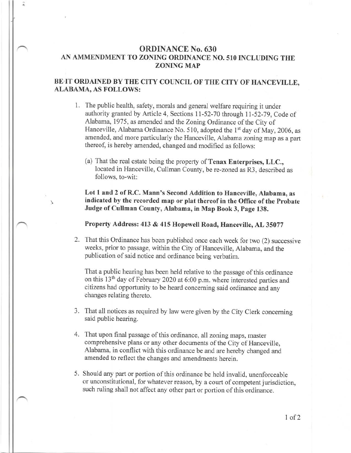## ORDINANCE No. 630 AN AMMENDMENT TO ZONING ORDINANCE NO. 510 INCLUDING THE ZONING MAP

## BE IT ORDAINED BY THE CITY COUNCIL OF THE CITY OF HANCEVILLE, ALABAMA, AS FOLLOWS:

- 1. The public health, safety, morals and general welfare requiring it under authority granted by Article 4, Sections 11-52-70 through 11-52-79, Code of Alabama, 1975, as amended and the Zoning Ordinance of the City of Hanceville, Alabama Ordinance No. 510, adopted the 1<sup>st</sup> day of May, 2006, as amended, and more particularly the Hanceville, Alabama zoning map as <sup>a</sup> part thereof, is hereby amended, changed and modified as follows:
	- (a) That the real estate being the property of Tenax Enterprises, LLC., located in Hanceville, Cullman County, be re-zoned as R3, described as follows, to-wit:

Lot 1 and 2 of R.C. Mann's Second Addition to Hanceville, Alabama, as indicated by the recorded map or plat thereof in the Office of the Probate Judge of Cullman County, Alabama, in Map Book 3, Page 138.

Property Address: 413 & 415 Hopewell Road, Hanceville, AL 35077

2. That this Ordinance has been published once each week for two (2) successive weeks, prior to passage, within the City of Hanceville, Alabama, and the publication of said notice and ordinance being verbatim.

That a public hearing has been held relative to the passage of this ordinance on this 13<sup>th</sup> day of February 2020 at 6:00 p.m. where interested parties and citizens had opportunity to be heard concerning said ordinance and any changes relating thereto.

- That all notices as required by law were given by the City Clerk concerning said public hearing.
- 4. That upon final passage of this ordinance, all zoning maps, master comprehensive plans or any other documents of the City of Hanceville, Alabama, in conflict with this ordinance be and are hereby changed and amended to reflect the changes and amendments herein.
- 5. Should any part or portion of this ordinance be held invalid, unenforceable or unconstitutional, for whatever reason, by a court of competent jurisdiction, such ruling shall not affect any other part or portion of this ordinance.

 $1$  of  $2$